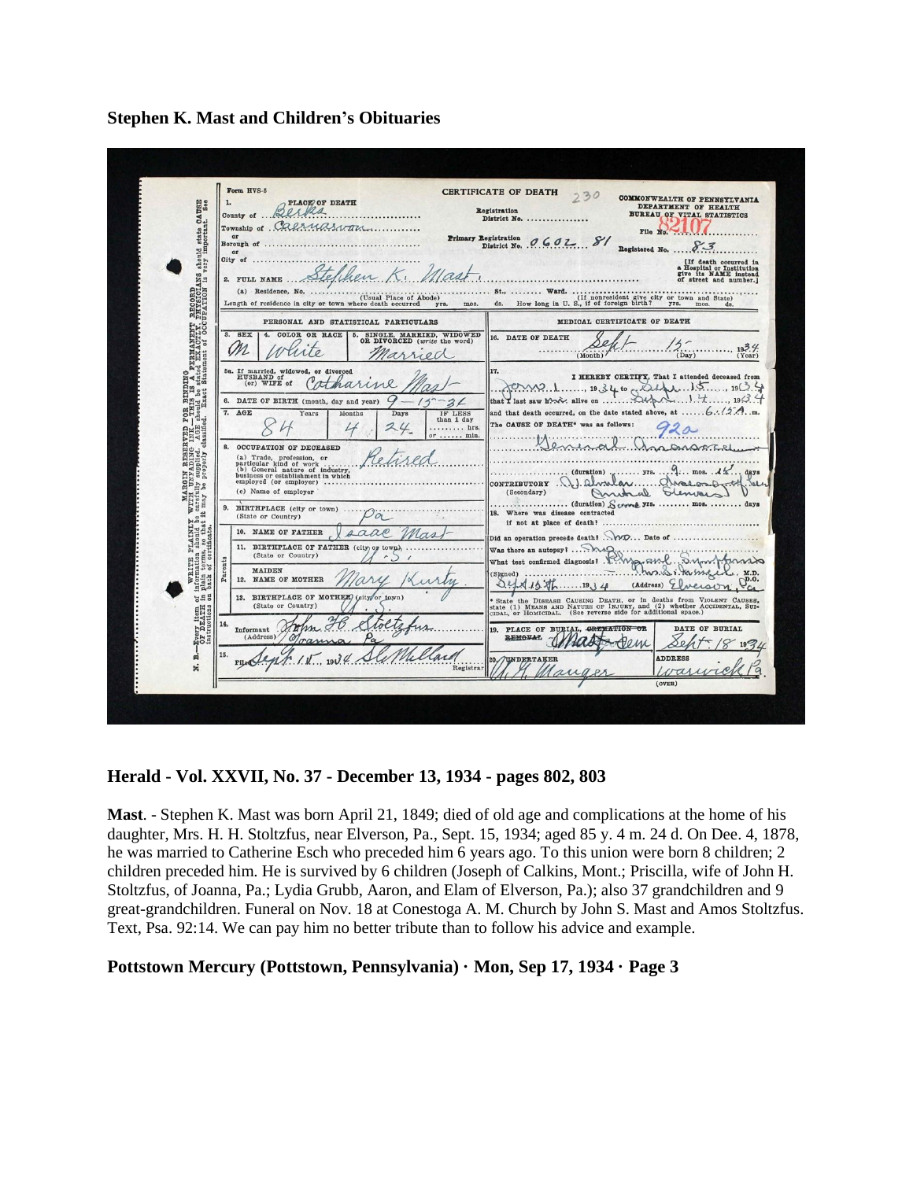**Stephen K. Mast and Children's Obituaries**



**Herald - Vol. XXVII, No. 37 - December 13, 1934 - pages 802, 803**

**Mast**. - Stephen K. Mast was born April 21, 1849; died of old age and complications at the home of his daughter, Mrs. H. H. Stoltzfus, near Elverson, Pa., Sept. 15, 1934; aged 85 y. 4 m. 24 d. On Dee. 4, 1878, he was married to Catherine Esch who preceded him 6 years ago. To this union were born 8 children; 2 children preceded him. He is survived by 6 children (Joseph of Calkins, Mont.; Priscilla, wife of John H. Stoltzfus, of Joanna, Pa.; Lydia Grubb, Aaron, and Elam of Elverson, Pa.); also 37 grandchildren and 9 great-grandchildren. Funeral on Nov. 18 at Conestoga A. M. Church by John S. Mast and Amos Stoltzfus. Text, Psa. 92:14. We can pay him no better tribute than to follow his advice and example.

#### **Pottstown Mercury (Pottstown, Pennsylvania) · Mon, Sep 17, 1934 · Page 3**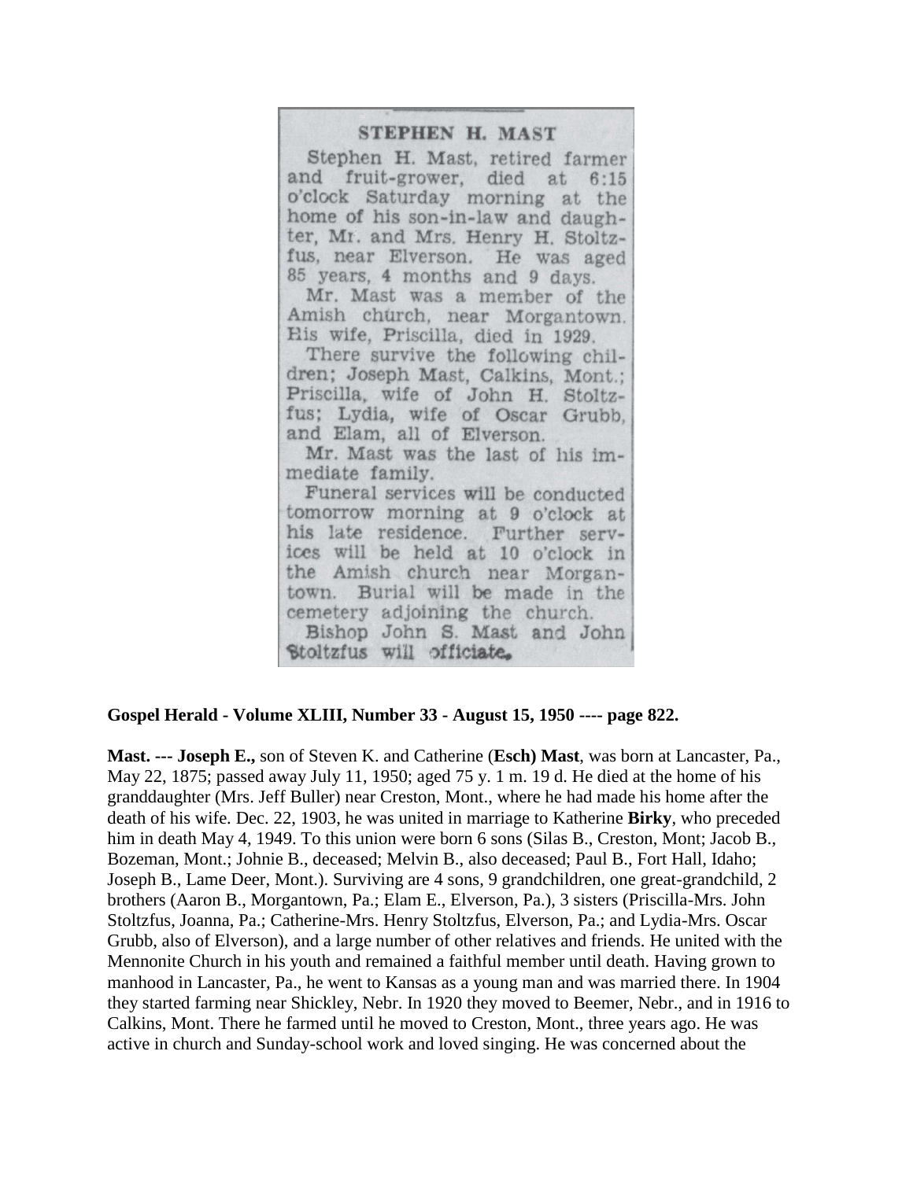## STEPHEN H. MAST

Stephen H. Mast, retired farmer and fruit-grower, died at  $6:15$ o'clock Saturday morning at the home of his son-in-law and daughter, Mr. and Mrs. Henry H. Stoltzfus, near Elverson. He was aged 85 years, 4 months and 9 days.

Mr. Mast was a member of the Amish church, near Morgantown. His wife, Priscilla, died in 1929.

There survive the following children; Joseph Mast, Calkins, Mont.; Priscilla, wife of John H. Stoltzfus; Lydia, wife of Oscar Grubb, and Elam, all of Elverson.

Mr. Mast was the last of his immediate family.

Funeral services will be conducted tomorrow morning at 9 o'clock at his late residence. Further services will be held at 10 o'clock in the Amish church near Morgantown. Burial will be made in the cemetery adjoining the church. Bishop John S. Mast and John Stoltzfus will officiate.

#### **Gospel Herald - Volume XLIII, Number 33 - August 15, 1950 ---- page 822.**

**Mast. --- Joseph E.,** son of Steven K. and Catherine (**Esch) Mast**, was born at Lancaster, Pa., May 22, 1875; passed away July 11, 1950; aged 75 y. 1 m. 19 d. He died at the home of his granddaughter (Mrs. Jeff Buller) near Creston, Mont., where he had made his home after the death of his wife. Dec. 22, 1903, he was united in marriage to Katherine **Birky**, who preceded him in death May 4, 1949. To this union were born 6 sons (Silas B., Creston, Mont; Jacob B., Bozeman, Mont.; Johnie B., deceased; Melvin B., also deceased; Paul B., Fort Hall, Idaho; Joseph B., Lame Deer, Mont.). Surviving are 4 sons, 9 grandchildren, one great-grandchild, 2 brothers (Aaron B., Morgantown, Pa.; Elam E., Elverson, Pa.), 3 sisters (Priscilla-Mrs. John Stoltzfus, Joanna, Pa.; Catherine-Mrs. Henry Stoltzfus, Elverson, Pa.; and Lydia-Mrs. Oscar Grubb, also of Elverson), and a large number of other relatives and friends. He united with the Mennonite Church in his youth and remained a faithful member until death. Having grown to manhood in Lancaster, Pa., he went to Kansas as a young man and was married there. In 1904 they started farming near Shickley, Nebr. In 1920 they moved to Beemer, Nebr., and in 1916 to Calkins, Mont. There he farmed until he moved to Creston, Mont., three years ago. He was active in church and Sunday-school work and loved singing. He was concerned about the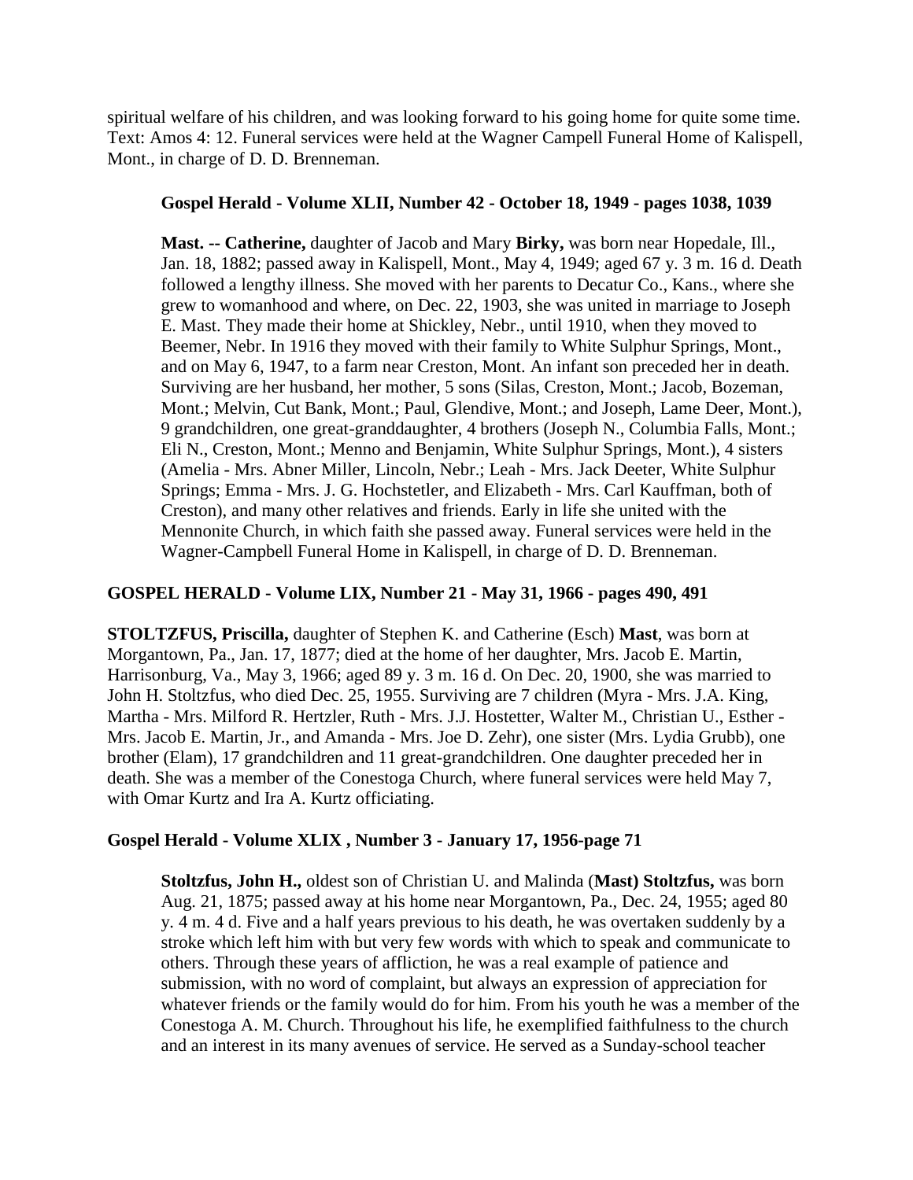spiritual welfare of his children, and was looking forward to his going home for quite some time. Text: Amos 4: 12. Funeral services were held at the Wagner Campell Funeral Home of Kalispell, Mont., in charge of D. D. Brenneman.

### **Gospel Herald - Volume XLII, Number 42 - October 18, 1949 - pages 1038, 1039**

**Mast. -- Catherine,** daughter of Jacob and Mary **Birky,** was born near Hopedale, Ill., Jan. 18, 1882; passed away in Kalispell, Mont., May 4, 1949; aged 67 y. 3 m. 16 d. Death followed a lengthy illness. She moved with her parents to Decatur Co., Kans., where she grew to womanhood and where, on Dec. 22, 1903, she was united in marriage to Joseph E. Mast. They made their home at Shickley, Nebr., until 1910, when they moved to Beemer, Nebr. In 1916 they moved with their family to White Sulphur Springs, Mont., and on May 6, 1947, to a farm near Creston, Mont. An infant son preceded her in death. Surviving are her husband, her mother, 5 sons (Silas, Creston, Mont.; Jacob, Bozeman, Mont.; Melvin, Cut Bank, Mont.; Paul, Glendive, Mont.; and Joseph, Lame Deer, Mont.), 9 grandchildren, one great-granddaughter, 4 brothers (Joseph N., Columbia Falls, Mont.; Eli N., Creston, Mont.; Menno and Benjamin, White Sulphur Springs, Mont.), 4 sisters (Amelia - Mrs. Abner Miller, Lincoln, Nebr.; Leah - Mrs. Jack Deeter, White Sulphur Springs; Emma - Mrs. J. G. Hochstetler, and Elizabeth - Mrs. Carl Kauffman, both of Creston), and many other relatives and friends. Early in life she united with the Mennonite Church, in which faith she passed away. Funeral services were held in the Wagner-Campbell Funeral Home in Kalispell, in charge of D. D. Brenneman.

## **GOSPEL HERALD - Volume LIX, Number 21 - May 31, 1966 - pages 490, 491**

**STOLTZFUS, Priscilla,** daughter of Stephen K. and Catherine (Esch) **Mast**, was born at Morgantown, Pa., Jan. 17, 1877; died at the home of her daughter, Mrs. Jacob E. Martin, Harrisonburg, Va., May 3, 1966; aged 89 y. 3 m. 16 d. On Dec. 20, 1900, she was married to John H. Stoltzfus, who died Dec. 25, 1955. Surviving are 7 children (Myra - Mrs. J.A. King, Martha - Mrs. Milford R. Hertzler, Ruth - Mrs. J.J. Hostetter, Walter M., Christian U., Esther - Mrs. Jacob E. Martin, Jr., and Amanda - Mrs. Joe D. Zehr), one sister (Mrs. Lydia Grubb), one brother (Elam), 17 grandchildren and 11 great-grandchildren. One daughter preceded her in death. She was a member of the Conestoga Church, where funeral services were held May 7, with Omar Kurtz and Ira A. Kurtz officiating.

# **Gospel Herald - Volume XLIX , Number 3 - January 17, 1956-page 71**

**Stoltzfus, John H.,** oldest son of Christian U. and Malinda (**Mast) Stoltzfus,** was born Aug. 21, 1875; passed away at his home near Morgantown, Pa., Dec. 24, 1955; aged 80 y. 4 m. 4 d. Five and a half years previous to his death, he was overtaken suddenly by a stroke which left him with but very few words with which to speak and communicate to others. Through these years of affliction, he was a real example of patience and submission, with no word of complaint, but always an expression of appreciation for whatever friends or the family would do for him. From his youth he was a member of the Conestoga A. M. Church. Throughout his life, he exemplified faithfulness to the church and an interest in its many avenues of service. He served as a Sunday-school teacher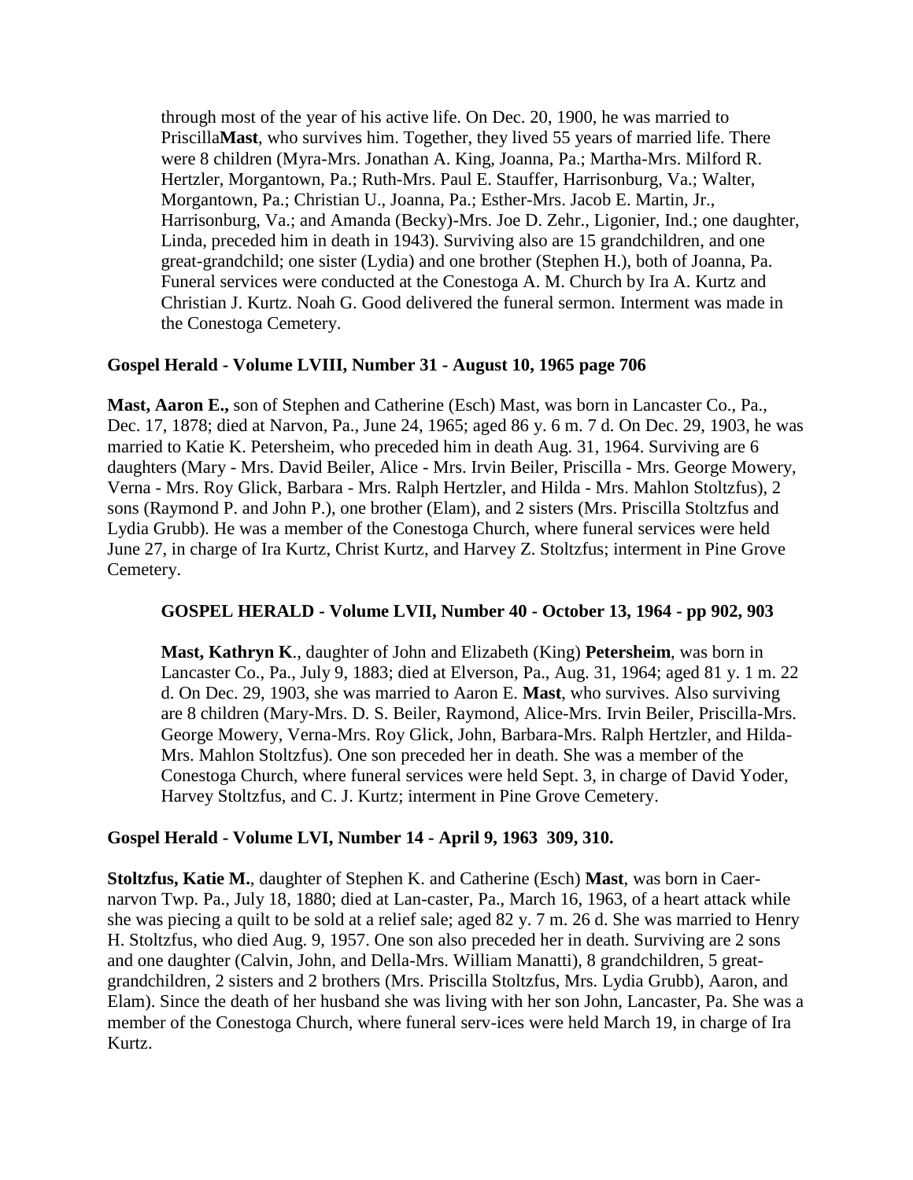through most of the year of his active life. On Dec. 20, 1900, he was married to Priscilla**Mast**, who survives him. Together, they lived 55 years of married life. There were 8 children (Myra-Mrs. Jonathan A. King, Joanna, Pa.; Martha-Mrs. Milford R. Hertzler, Morgantown, Pa.; Ruth-Mrs. Paul E. Stauffer, Harrisonburg, Va.; Walter, Morgantown, Pa.; Christian U., Joanna, Pa.; Esther-Mrs. Jacob E. Martin, Jr., Harrisonburg, Va.; and Amanda (Becky)-Mrs. Joe D. Zehr., Ligonier, Ind.; one daughter, Linda, preceded him in death in 1943). Surviving also are 15 grandchildren, and one great-grandchild; one sister (Lydia) and one brother (Stephen H.), both of Joanna, Pa. Funeral services were conducted at the Conestoga A. M. Church by Ira A. Kurtz and Christian J. Kurtz. Noah G. Good delivered the funeral sermon. Interment was made in the Conestoga Cemetery.

## **Gospel Herald - Volume LVIII, Number 31 - August 10, 1965 page 706**

**Mast, Aaron E.,** son of Stephen and Catherine (Esch) Mast, was born in Lancaster Co., Pa., Dec. 17, 1878; died at Narvon, Pa., June 24, 1965; aged 86 y. 6 m. 7 d. On Dec. 29, 1903, he was married to Katie K. Petersheim, who preceded him in death Aug. 31, 1964. Surviving are 6 daughters (Mary - Mrs. David Beiler, Alice - Mrs. Irvin Beiler, Priscilla - Mrs. George Mowery, Verna - Mrs. Roy Glick, Barbara - Mrs. Ralph Hertzler, and Hilda - Mrs. Mahlon Stoltzfus), 2 sons (Raymond P. and John P.), one brother (Elam), and 2 sisters (Mrs. Priscilla Stoltzfus and Lydia Grubb). He was a member of the Conestoga Church, where funeral services were held June 27, in charge of Ira Kurtz, Christ Kurtz, and Harvey Z. Stoltzfus; interment in Pine Grove Cemetery.

#### **GOSPEL HERALD - Volume LVII, Number 40 - October 13, 1964 - pp 902, 903**

**Mast, Kathryn K**., daughter of John and Elizabeth (King) **Petersheim**, was born in Lancaster Co., Pa., July 9, 1883; died at Elverson, Pa., Aug. 31, 1964; aged 81 y. 1 m. 22 d. On Dec. 29, 1903, she was married to Aaron E. **Mast**, who survives. Also surviving are 8 children (Mary-Mrs. D. S. Beiler, Raymond, Alice-Mrs. Irvin Beiler, Priscilla-Mrs. George Mowery, Verna-Mrs. Roy Glick, John, Barbara-Mrs. Ralph Hertzler, and Hilda-Mrs. Mahlon Stoltzfus). One son preceded her in death. She was a member of the Conestoga Church, where funeral services were held Sept. 3, in charge of David Yoder, Harvey Stoltzfus, and C. J. Kurtz; interment in Pine Grove Cemetery.

#### **Gospel Herald - Volume LVI, Number 14 - April 9, 1963 309, 310.**

**Stoltzfus, Katie M.**, daughter of Stephen K. and Catherine (Esch) **Mast**, was born in Caernarvon Twp. Pa., July 18, 1880; died at Lan-caster, Pa., March 16, 1963, of a heart attack while she was piecing a quilt to be sold at a relief sale; aged 82 y. 7 m. 26 d. She was married to Henry H. Stoltzfus, who died Aug. 9, 1957. One son also preceded her in death. Surviving are 2 sons and one daughter (Calvin, John, and Della-Mrs. William Manatti), 8 grandchildren, 5 greatgrandchildren, 2 sisters and 2 brothers (Mrs. Priscilla Stoltzfus, Mrs. Lydia Grubb), Aaron, and Elam). Since the death of her husband she was living with her son John, Lancaster, Pa. She was a member of the Conestoga Church, where funeral serv-ices were held March 19, in charge of Ira Kurtz.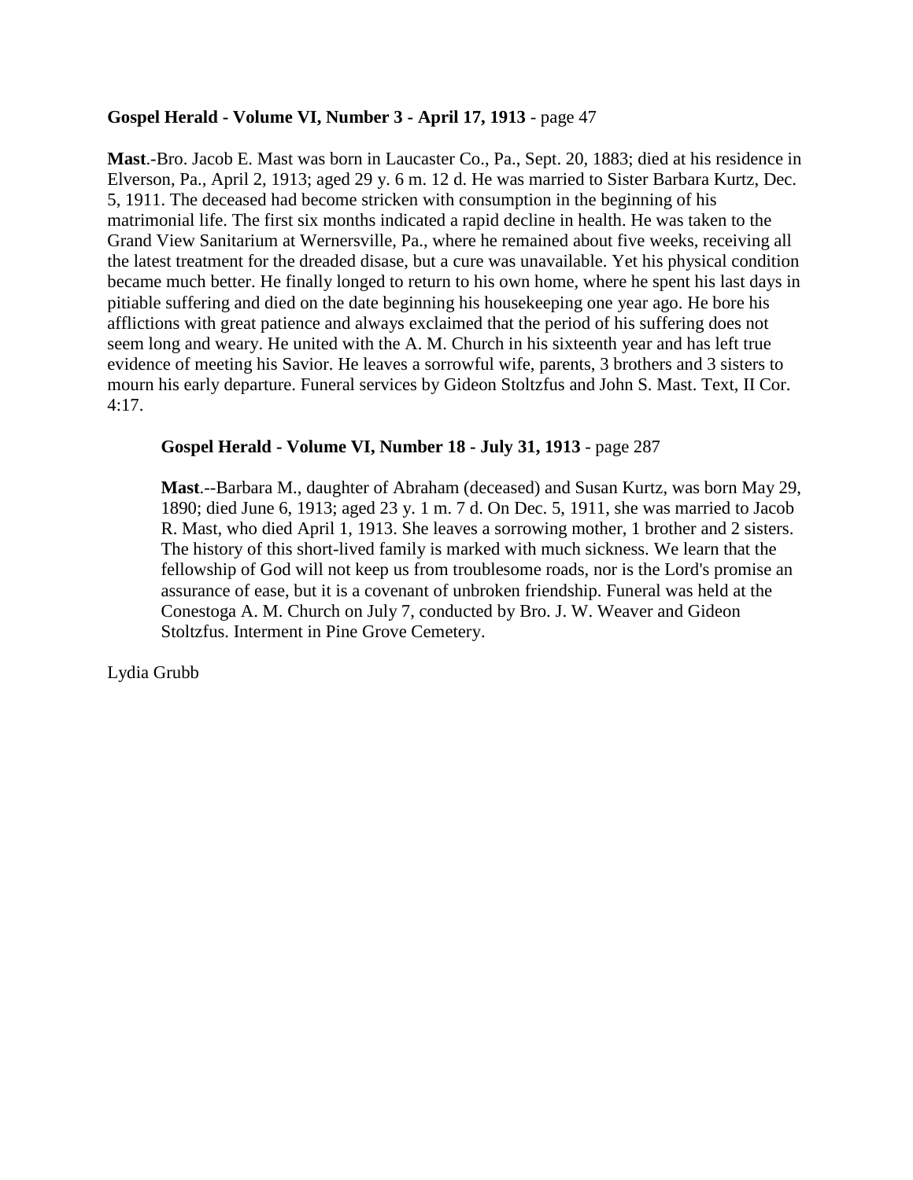## **Gospel Herald - Volume VI, Number 3 - April 17, 1913** - page 47

**Mast**.-Bro. Jacob E. Mast was born in Laucaster Co., Pa., Sept. 20, 1883; died at his residence in Elverson, Pa., April 2, 1913; aged 29 y. 6 m. 12 d. He was married to Sister Barbara Kurtz, Dec. 5, 1911. The deceased had become stricken with consumption in the beginning of his matrimonial life. The first six months indicated a rapid decline in health. He was taken to the Grand View Sanitarium at Wernersville, Pa., where he remained about five weeks, receiving all the latest treatment for the dreaded disase, but a cure was unavailable. Yet his physical condition became much better. He finally longed to return to his own home, where he spent his last days in pitiable suffering and died on the date beginning his housekeeping one year ago. He bore his afflictions with great patience and always exclaimed that the period of his suffering does not seem long and weary. He united with the A. M. Church in his sixteenth year and has left true evidence of meeting his Savior. He leaves a sorrowful wife, parents, 3 brothers and 3 sisters to mourn his early departure. Funeral services by Gideon Stoltzfus and John S. Mast. Text, II Cor. 4:17.

## **Gospel Herald - Volume VI, Number 18 - July 31, 1913** - page 287

**Mast**.--Barbara M., daughter of Abraham (deceased) and Susan Kurtz, was born May 29, 1890; died June 6, 1913; aged 23 y. 1 m. 7 d. On Dec. 5, 1911, she was married to Jacob R. Mast, who died April 1, 1913. She leaves a sorrowing mother, 1 brother and 2 sisters. The history of this short-lived family is marked with much sickness. We learn that the fellowship of God will not keep us from troublesome roads, nor is the Lord's promise an assurance of ease, but it is a covenant of unbroken friendship. Funeral was held at the Conestoga A. M. Church on July 7, conducted by Bro. J. W. Weaver and Gideon Stoltzfus. Interment in Pine Grove Cemetery.

Lydia Grubb